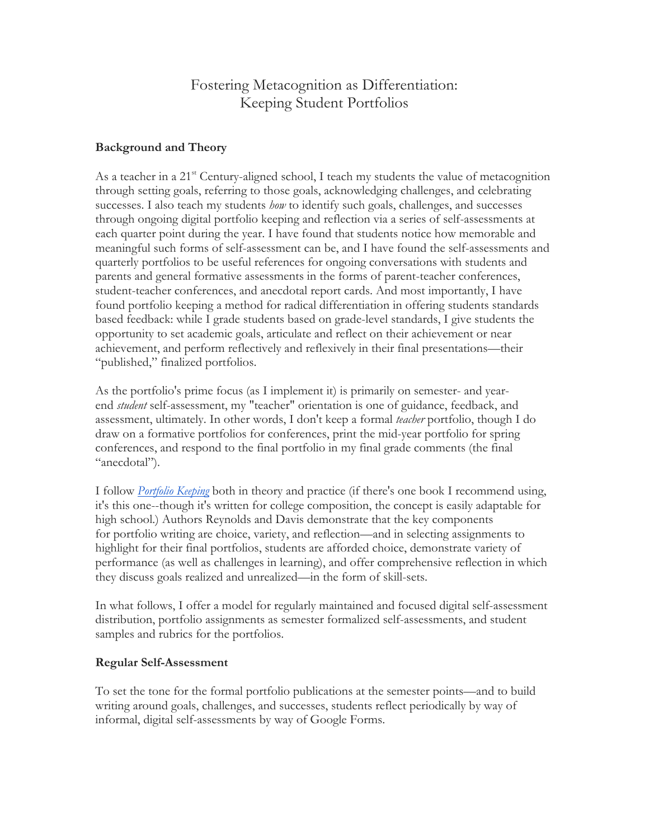# Fostering Metacognition as Differentiation: Keeping Student Portfolios

# **Background and Theory**

As a teacher in a  $21^{st}$  Century-aligned school, I teach my students the value of metacognition through setting goals, referring to those goals, acknowledging challenges, and celebrating successes. I also teach my students *how* to identify such goals, challenges, and successes through ongoing digital portfolio keeping and reflection via a series of self-assessments at each quarter point during the year. I have found that students notice how memorable and meaningful such forms of self-assessment can be, and I have found the self-assessments and quarterly portfolios to be useful references for ongoing conversations with students and parents and general formative assessments in the forms of parent-teacher conferences, student-teacher conferences, and anecdotal report cards. And most importantly, I have found portfolio keeping a method for radical differentiation in offering students standards based feedback: while I grade students based on grade-level standards, I give students the opportunity to set academic goals, articulate and reflect on their achievement or near achievement, and perform reflectively and reflexively in their final presentations—their "published," finalized portfolios.

As the portfolio's prime focus (as I implement it) is primarily on semester- and yearend *student* self-assessment, my "teacher" orientation is one of guidance, feedback, and assessment, ultimately. In other words, I don't keep a formal *teacher* portfolio, though I do draw on a formative portfolios for conferences, print the mid-year portfolio for spring conferences, and respond to the final portfolio in my final grade comments (the final "anecdotal").

I follow *Portfolio Keeping* both in theory and practice (if there's one book I recommend using, it's this one--though it's written for college composition, the concept is easily adaptable for high school.) Authors Reynolds and Davis demonstrate that the key components for portfolio writing are choice, variety, and reflection—and in selecting assignments to highlight for their final portfolios, students are afforded choice, demonstrate variety of performance (as well as challenges in learning), and offer comprehensive reflection in which they discuss goals realized and unrealized—in the form of skill-sets.

In what follows, I offer a model for regularly maintained and focused digital self-assessment distribution, portfolio assignments as semester formalized self-assessments, and student samples and rubrics for the portfolios.

### **Regular Self-Assessment**

To set the tone for the formal portfolio publications at the semester points—and to build writing around goals, challenges, and successes, students reflect periodically by way of informal, digital self-assessments by way of Google Forms.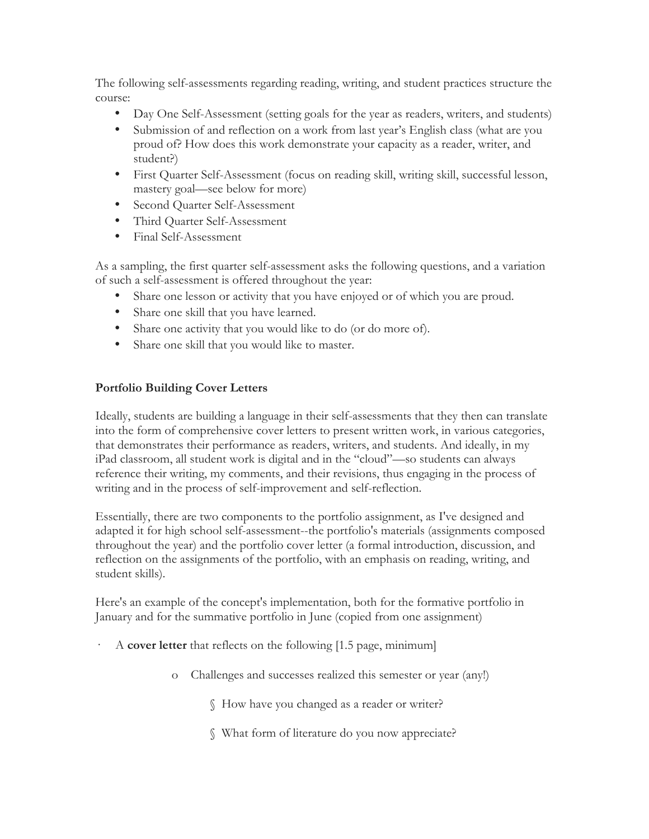The following self-assessments regarding reading, writing, and student practices structure the course:

- Day One Self-Assessment (setting goals for the year as readers, writers, and students)
- Submission of and reflection on a work from last year's English class (what are you proud of? How does this work demonstrate your capacity as a reader, writer, and student?)
- First Quarter Self-Assessment (focus on reading skill, writing skill, successful lesson, mastery goal—see below for more)
- Second Quarter Self-Assessment
- Third Quarter Self-Assessment
- Final Self-Assessment

As a sampling, the first quarter self-assessment asks the following questions, and a variation of such a self-assessment is offered throughout the year:

- Share one lesson or activity that you have enjoyed or of which you are proud.
- Share one skill that you have learned.
- Share one activity that you would like to do (or do more of).
- Share one skill that you would like to master.

# **Portfolio Building Cover Letters**

Ideally, students are building a language in their self-assessments that they then can translate into the form of comprehensive cover letters to present written work, in various categories, that demonstrates their performance as readers, writers, and students. And ideally, in my iPad classroom, all student work is digital and in the "cloud"—so students can always reference their writing, my comments, and their revisions, thus engaging in the process of writing and in the process of self-improvement and self-reflection.

Essentially, there are two components to the portfolio assignment, as I've designed and adapted it for high school self-assessment--the portfolio's materials (assignments composed throughout the year) and the portfolio cover letter (a formal introduction, discussion, and reflection on the assignments of the portfolio, with an emphasis on reading, writing, and student skills).

Here's an example of the concept's implementation, both for the formative portfolio in January and for the summative portfolio in June (copied from one assignment)

- · A **cover letter** that reflects on the following [1.5 page, minimum]
	- o Challenges and successes realized this semester or year (any!)
		- § How have you changed as a reader or writer?
		- § What form of literature do you now appreciate?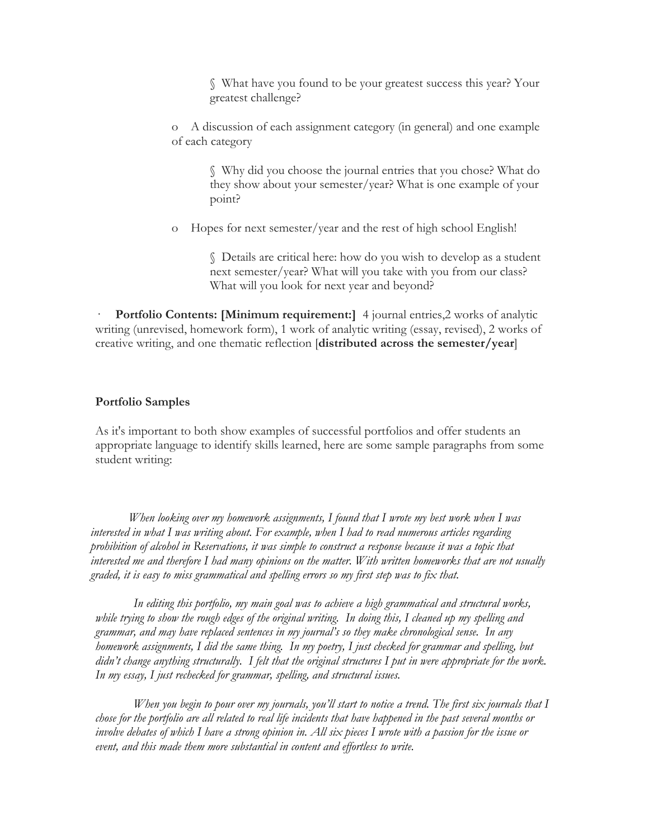§ What have you found to be your greatest success this year? Your greatest challenge?

o A discussion of each assignment category (in general) and one example of each category

> § Why did you choose the journal entries that you chose? What do they show about your semester/year? What is one example of your point?

o Hopes for next semester/year and the rest of high school English!

§ Details are critical here: how do you wish to develop as a student next semester/year? What will you take with you from our class? What will you look for next year and beyond?

**Portfolio Contents: [Minimum requirement:]** 4 journal entries,2 works of analytic writing (unrevised, homework form), 1 work of analytic writing (essay, revised), 2 works of creative writing, and one thematic reflection [**distributed across the semester/year**]

#### **Portfolio Samples**

As it's important to both show examples of successful portfolios and offer students an appropriate language to identify skills learned, here are some sample paragraphs from some student writing:

*When looking over my homework assignments, I found that I wrote my best work when I was interested in what I was writing about. For example, when I had to read numerous articles regarding prohibition of alcohol in Reservations, it was simple to construct a response because it was a topic that interested me and therefore I had many opinions on the matter. With written homeworks that are not usually graded, it is easy to miss grammatical and spelling errors so my first step was to fix that.* 

*In editing this portfolio, my main goal was to achieve a high grammatical and structural works, while trying to show the rough edges of the original writing. In doing this, I cleaned up my spelling and grammar, and may have replaced sentences in my journal's so they make chronological sense. In any homework assignments, I did the same thing. In my poetry, I just checked for grammar and spelling, but didn't change anything structurally. I felt that the original structures I put in were appropriate for the work. In my essay, I just rechecked for grammar, spelling, and structural issues.* 

*When you begin to pour over my journals, you'll start to notice a trend. The first six journals that I chose for the portfolio are all related to real life incidents that have happened in the past several months or involve debates of which I have a strong opinion in. All six pieces I wrote with a passion for the issue or event, and this made them more substantial in content and effortless to write.*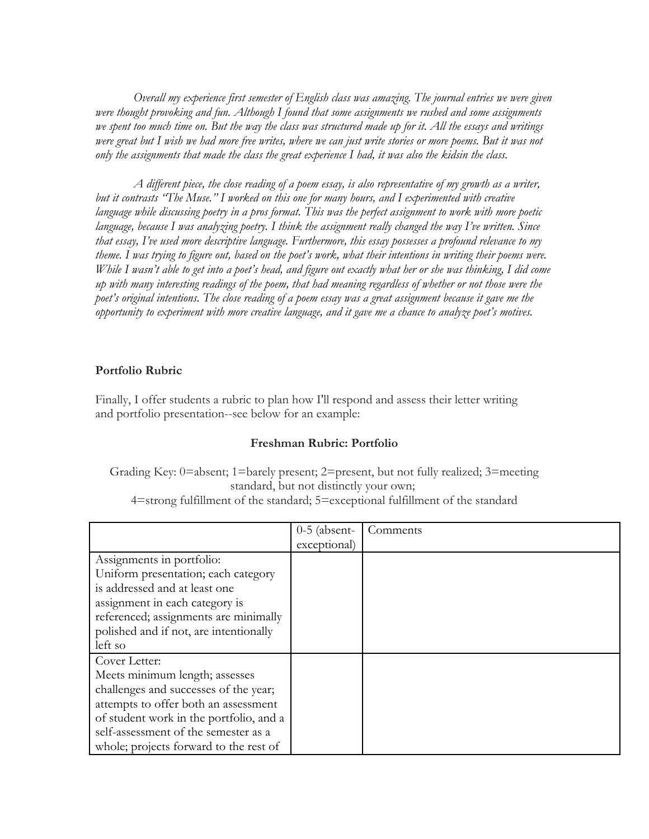*Overall my experience first semester of English class was amazing. The journal entries we were given were thought provoking and fun. Although I found that some assignments we rushed and some assignments we spent too much time on. But the way the class was structured made up for it. All the essays and writings were great but I wish we had more free writes, where we can just write stories or more poems. But it was not only the assignments that made the class the great experience I had, it was also the kidsin the class.*

*A different piece, the close reading of a poem essay, is also representative of my growth as a writer, but it contrasts "The Muse." I worked on this one for many hours, and I experimented with creative language while discussing poetry in a pros format. This was the perfect assignment to work with more poetic language, because I was analyzing poetry. I think the assignment really changed the way I've written. Since that essay, I've used more descriptive language. Furthermore, this essay possesses a profound relevance to my theme. I was trying to figure out, based on the poet's work, what their intentions in writing their poems were. While I wasn't able to get into a poet's head, and figure out exactly what her or she was thinking, I did come up with many interesting readings of the poem, that had meaning regardless of whether or not those were the poet's original intentions. The close reading of a poem essay was a great assignment because it gave me the opportunity to experiment with more creative language, and it gave me a chance to analyze poet's motives.* 

#### **Portfolio Rubric**

Finally, I offer students a rubric to plan how I'll respond and assess their letter writing and portfolio presentation--see below for an example:

#### **Freshman Rubric: Portfolio**

Grading Key: 0=absent; 1=barely present; 2=present, but not fully realized; 3=meeting standard, but not distinctly your own;

4=strong fulfillment of the standard; 5=exceptional fulfillment of the standard

|                                         | $0-5$ (absent- | Comments |
|-----------------------------------------|----------------|----------|
|                                         | exceptional)   |          |
| Assignments in portfolio:               |                |          |
| Uniform presentation; each category     |                |          |
| is addressed and at least one           |                |          |
| assignment in each category is          |                |          |
| referenced; assignments are minimally   |                |          |
| polished and if not, are intentionally  |                |          |
| left so                                 |                |          |
| Cover Letter:                           |                |          |
| Meets minimum length; assesses          |                |          |
| challenges and successes of the year;   |                |          |
| attempts to offer both an assessment    |                |          |
| of student work in the portfolio, and a |                |          |
| self-assessment of the semester as a    |                |          |
| whole; projects forward to the rest of  |                |          |